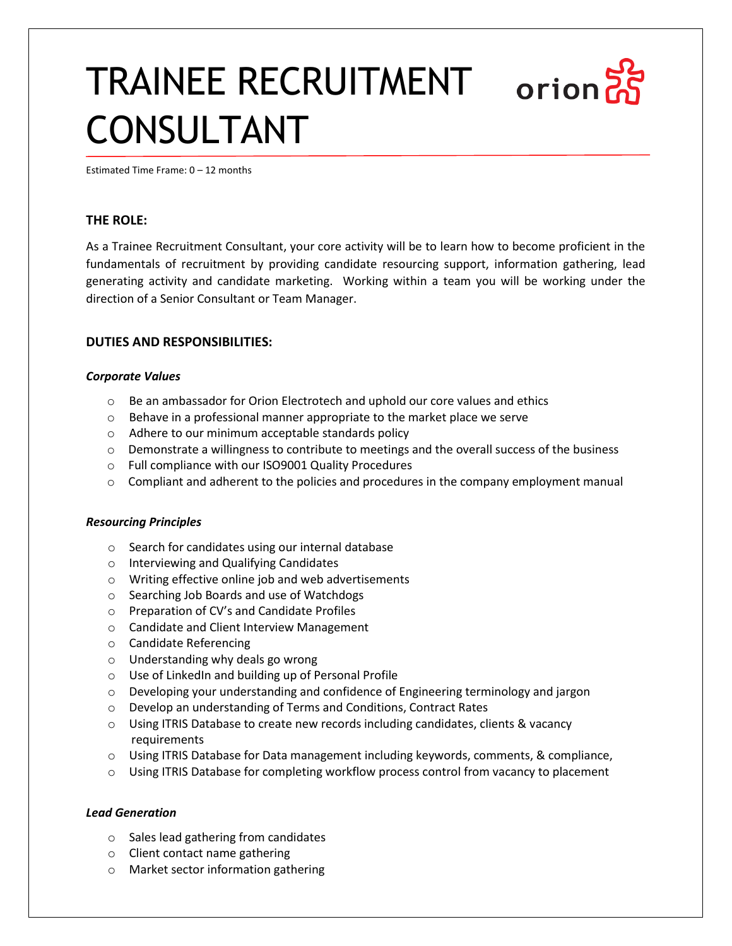# TRAINEE RECRUITMENT orion CONSULTANT

Estimated Time Frame: 0 – 12 months

# **THE ROLE:**

As a Trainee Recruitment Consultant, your core activity will be to learn how to become proficient in the fundamentals of recruitment by providing candidate resourcing support, information gathering, lead generating activity and candidate marketing. Working within a team you will be working under the direction of a Senior Consultant or Team Manager.

## **DUTIES AND RESPONSIBILITIES:**

## *Corporate Values*

- o Be an ambassador for Orion Electrotech and uphold our core values and ethics
- o Behave in a professional manner appropriate to the market place we serve
- o Adhere to our minimum acceptable standards policy
- $\circ$  Demonstrate a willingness to contribute to meetings and the overall success of the business
- o Full compliance with our ISO9001 Quality Procedures
- $\circ$  Compliant and adherent to the policies and procedures in the company employment manual

#### *Resourcing Principles*

- o Search for candidates using our internal database
- o Interviewing and Qualifying Candidates
- o Writing effective online job and web advertisements
- o Searching Job Boards and use of Watchdogs
- o Preparation of CV's and Candidate Profiles
- o Candidate and Client Interview Management
- o Candidate Referencing
- o Understanding why deals go wrong
- o Use of LinkedIn and building up of Personal Profile
- $\circ$  Developing your understanding and confidence of Engineering terminology and jargon
- o Develop an understanding of Terms and Conditions, Contract Rates
- $\circ$  Using ITRIS Database to create new records including candidates, clients & vacancy requirements
- $\circ$  Using ITRIS Database for Data management including keywords, comments, & compliance,
- $\circ$  Using ITRIS Database for completing workflow process control from vacancy to placement

#### *Lead Generation*

- o Sales lead gathering from candidates
- o Client contact name gathering
- o Market sector information gathering